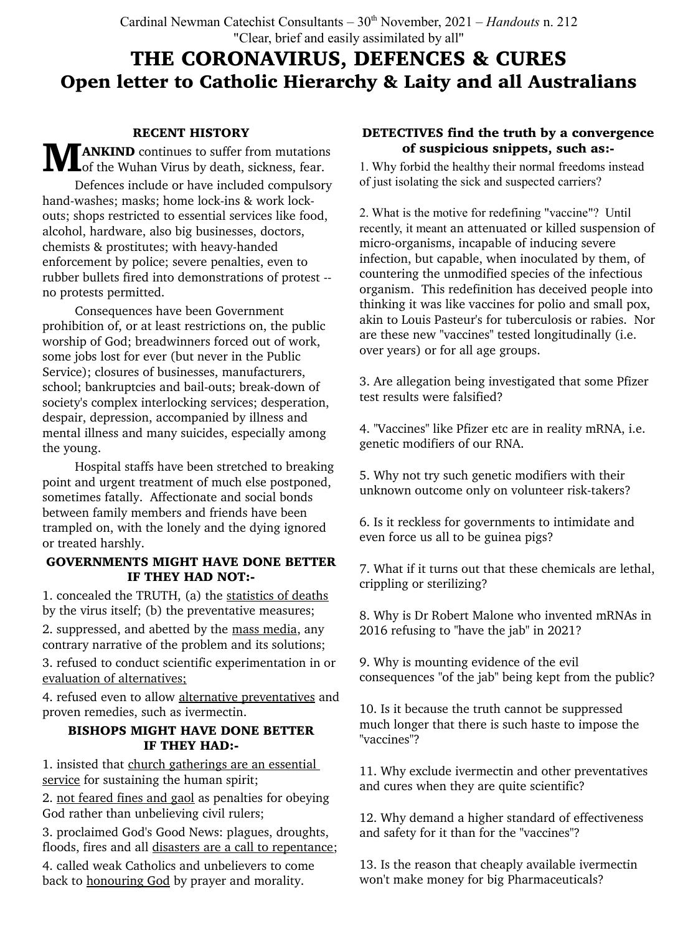# THE CORONAVIRUS, DEFENCES & CURES Open letter to Catholic Hierarchy & Laity and all Australians

### RECENT HISTORY

**MANKIND** continues to suffer from mutations<br> **Moreof the Wuhan Virus by death, sickness, fear.** 

Defences include or have included compulsory hand-washes; masks; home lock-ins & work lockouts; shops restricted to essential services like food, alcohol, hardware, also big businesses, doctors, chemists & prostitutes; with heavy-handed enforcement by police; severe penalties, even to rubber bullets fired into demonstrations of protest - no protests permitted.

Consequences have been Government prohibition of, or at least restrictions on, the public worship of God; breadwinners forced out of work, some jobs lost for ever (but never in the Public Service); closures of businesses, manufacturers, school; bankruptcies and bail-outs; break-down of society's complex interlocking services; desperation, despair, depression, accompanied by illness and mental illness and many suicides, especially among the young.

Hospital staffs have been stretched to breaking point and urgent treatment of much else postponed, sometimes fatally. Affectionate and social bonds between family members and friends have been trampled on, with the lonely and the dying ignored or treated harshly.

# GOVERNMENTS MIGHT HAVE DONE BETTER IF THEY HAD NOT:-

1. concealed the TRUTH, (a) the statistics of deaths by the virus itself; (b) the preventative measures;

2. suppressed, and abetted by the mass media, any contrary narrative of the problem and its solutions;

3. refused to conduct scientific experimentation in or evaluation of alternatives;

4. refused even to allow alternative preventatives and proven remedies, such as ivermectin.

#### BISHOPS MIGHT HAVE DONE BETTER IF THEY HAD:-

1. insisted that church gatherings are an essential service for sustaining the human spirit;

2. not feared fines and gaol as penalties for obeying God rather than unbelieving civil rulers;

3. proclaimed God's Good News: plagues, droughts, floods, fires and all disasters are a call to repentance;

4. called weak Catholics and unbelievers to come back to honouring God by prayer and morality.

# DETECTIVES find the truth by a convergence of suspicious snippets, such as:-

1. Why forbid the healthy their normal freedoms instead of just isolating the sick and suspected carriers?

2. What is the motive for redefining "vaccine"? Until recently, it meant an attenuated or killed suspension of micro-organisms, incapable of inducing severe infection, but capable, when inoculated by them, of countering the unmodified species of the infectious organism. This redefinition has deceived people into thinking it was like vaccines for polio and small pox, akin to Louis Pasteur's for tuberculosis or rabies. Nor are these new "vaccines" tested longitudinally (i.e. over years) or for all age groups.

3. Are allegation being investigated that some Pfizer test results were falsified?

4. "Vaccines" like Pfizer etc are in reality mRNA, i.e. genetic modifiers of our RNA.

5. Why not try such genetic modifiers with their unknown outcome only on volunteer risk-takers?

6. Is it reckless for governments to intimidate and even force us all to be guinea pigs?

7. What if it turns out that these chemicals are lethal, crippling or sterilizing?

8. Why is Dr Robert Malone who invented mRNAs in 2016 refusing to "have the jab" in 2021?

9. Why is mounting evidence of the evil consequences "of the jab" being kept from the public?

10. Is it because the truth cannot be suppressed much longer that there is such haste to impose the "vaccines"?

11. Why exclude ivermectin and other preventatives and cures when they are quite scientific?

12. Why demand a higher standard of effectiveness and safety for it than for the "vaccines"?

13. Is the reason that cheaply available ivermectin won't make money for big Pharmaceuticals?